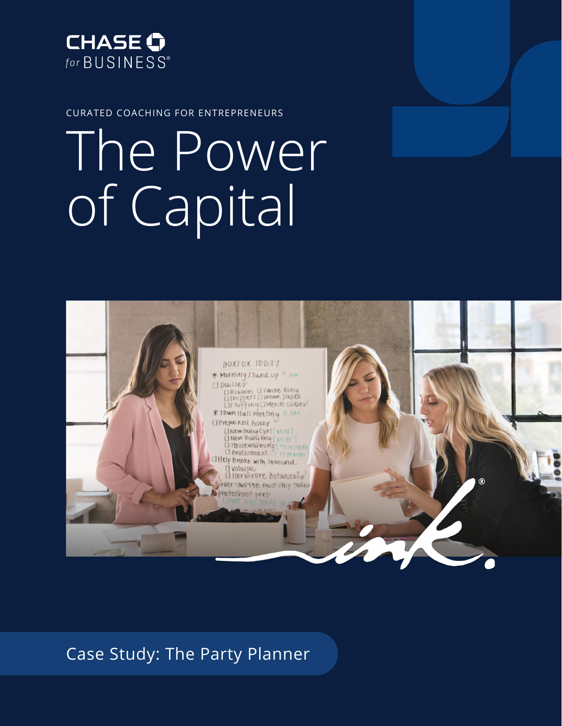

CURATED COACHING FOR ENTREPRENEURS

# The Power of Capital



Case Study: The Party Planner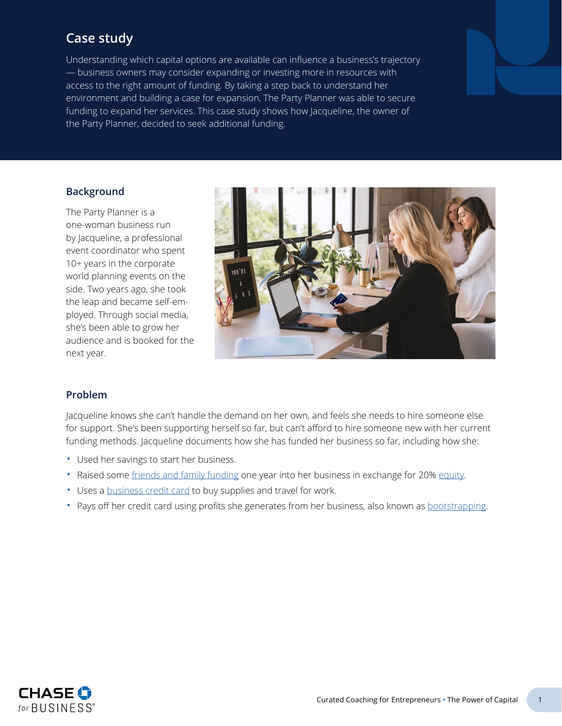# **Case study**

Understanding which capital options are available can influence a business's trajectory — business owners may consider expanding or investing more in resources with access to the right amount of funding. By taking a step back to understand her environment and building a case for expansion, The Party Planner was able to secure funding to expand her services. This case study shows how Jacqueline, the owner of the Party Planner, decided to seek additional funding.

# **Background**

The Party Planner is a one-woman business run by Jacqueline, a professional event coordinator who spent 10+ years in the corporate world planning events on the side. Two years ago, she took the leap and became self-employed. Through social media, she's been able to grow her audience and is booked for the next year.



# **Problem**

Jacqueline knows she can't handle the demand on her own, and feels she needs to hire someone else for support. She's been supporting herself so far, but can't afford to hire someone new with her current funding methods. Jacqueline documents how she has funded her business so far, including how she:

- Used her savings to start her business.
- Raised some [friends and family funding](#page-4-0) one year into her business in exchange for 20% [equity.](#page-4-1)
- Uses a [business credit card](#page-4-2) to buy supplies and travel for work.
- Pays off her credit card using profits she generates from her business, also known as [bootstrapping](#page-4-3).

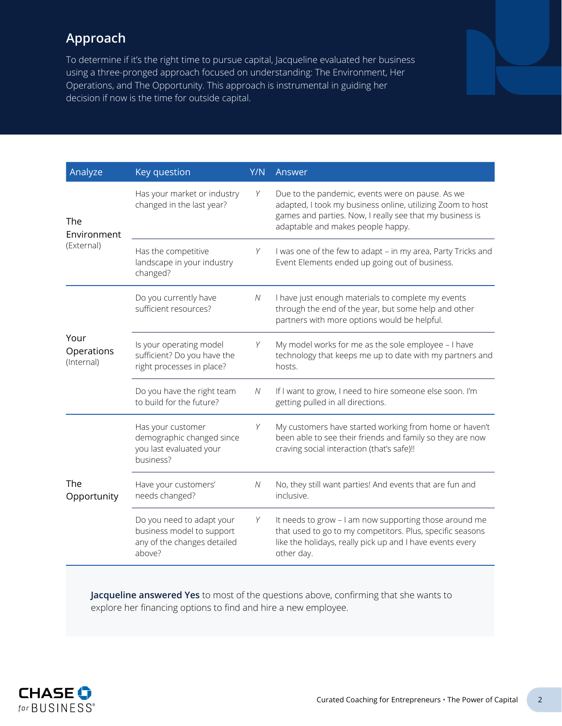# **Approach**

To determine if it's the right time to pursue capital, Jacqueline evaluated her business using a three-pronged approach focused on understanding: The Environment, Her Operations, and The Opportunity. This approach is instrumental in guiding her decision if now is the time for outside capital.

| Analyze                          | Key question                                                                                    | Y/N | Answer                                                                                                                                                                                                          |
|----------------------------------|-------------------------------------------------------------------------------------------------|-----|-----------------------------------------------------------------------------------------------------------------------------------------------------------------------------------------------------------------|
| The<br>Environment<br>(External) | Has your market or industry<br>changed in the last year?                                        | Y   | Due to the pandemic, events were on pause. As we<br>adapted, I took my business online, utilizing Zoom to host<br>games and parties. Now, I really see that my business is<br>adaptable and makes people happy. |
|                                  | Has the competitive<br>landscape in your industry<br>changed?                                   | Y   | I was one of the few to adapt - in my area, Party Tricks and<br>Event Elements ended up going out of business.                                                                                                  |
| Your<br>Operations<br>(Internal) | Do you currently have<br>sufficient resources?                                                  | N   | I have just enough materials to complete my events<br>through the end of the year, but some help and other<br>partners with more options would be helpful.                                                      |
|                                  | Is your operating model<br>sufficient? Do you have the<br>right processes in place?             | Y   | My model works for me as the sole employee - I have<br>technology that keeps me up to date with my partners and<br>hosts.                                                                                       |
|                                  | Do you have the right team<br>to build for the future?                                          | N   | If I want to grow, I need to hire someone else soon. I'm<br>getting pulled in all directions.                                                                                                                   |
| The<br>Opportunity               | Has your customer<br>demographic changed since<br>you last evaluated your<br>business?          | Y   | My customers have started working from home or haven't<br>been able to see their friends and family so they are now<br>craving social interaction (that's safe)!!                                               |
|                                  | Have your customers'<br>needs changed?                                                          | N   | No, they still want parties! And events that are fun and<br>inclusive.                                                                                                                                          |
|                                  | Do you need to adapt your<br>business model to support<br>any of the changes detailed<br>above? | Υ   | It needs to grow - I am now supporting those around me<br>that used to go to my competitors. Plus, specific seasons<br>like the holidays, really pick up and I have events every<br>other day.                  |

**Jacqueline answered Yes** to most of the questions above, confirming that she wants to explore her financing options to find and hire a new employee.

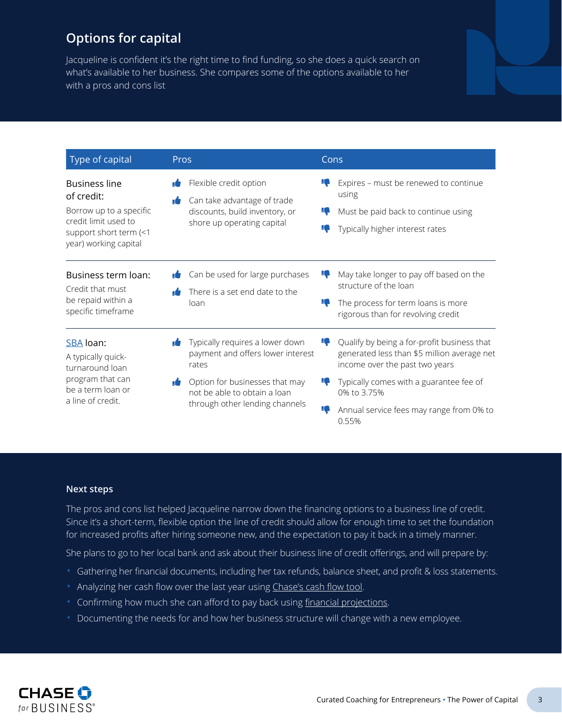# **Options for capital**

Jacqueline is confident it's the right time to find funding, so she does a quick search on what's available to her business. She compares some of the options available to her with a pros and cons list

| Type of capital                                                                                                                          | <b>Pros</b>                                                                                                           | Cons                                                                                                                                                                         |
|------------------------------------------------------------------------------------------------------------------------------------------|-----------------------------------------------------------------------------------------------------------------------|------------------------------------------------------------------------------------------------------------------------------------------------------------------------------|
| <b>Business line</b><br>of credit:<br>Borrow up to a specific<br>credit limit used to<br>support short term (<1<br>year) working capital | Flexible credit option<br>Can take advantage of trade<br>discounts, build inventory, or<br>shore up operating capital | Expires - must be renewed to continue<br>using<br>Must be paid back to continue using<br>Typically higher interest rates                                                     |
| Business term loan:<br>Credit that must<br>be repaid within a<br>specific timeframe                                                      | Can be used for large purchases<br>There is a set end date to the<br>loan                                             | May take longer to pay off based on the<br>structure of the loan<br>The process for term loans is more<br>10<br>rigorous than for revolving credit                           |
| SBA loan:<br>A typically quick-<br>turnaround loan<br>program that can                                                                   | Typically requires a lower down<br>payment and offers lower interest<br>rates<br>Option for businesses that may<br>۱Ė | Qualify by being a for-profit business that<br>ĸ<br>generated less than \$5 million average net<br>income over the past two years<br>Typically comes with a guarantee fee of |
| be a term loan or<br>a line of credit.                                                                                                   | not be able to obtain a loan<br>through other lending channels                                                        | 0% to 3.75%<br>Annual service fees may range from 0% to<br>ĸ<br>0.55%                                                                                                        |

### **Next steps**

The pros and cons list helped Jacqueline narrow down the financing options to a business line of credit. Since it's a short-term, flexible option the line of credit should allow for enough time to set the foundation for increased profits after hiring someone new, and the expectation to pay it back in a timely manner.

She plans to go to her local bank and ask about their business line of credit offerings, and will prepare by:

- Gathering her financial documents, including her tax refunds, balance sheet, and profit & loss statements.
- Analyzing her cash flow over the last year using [Chase's cash flow tool.](https://cashflow.chase.com/)
- Confirming how much she can afford to pay back using [financial projections](#page-4-4).
- Documenting the needs for and how her business structure will change with a new employee.